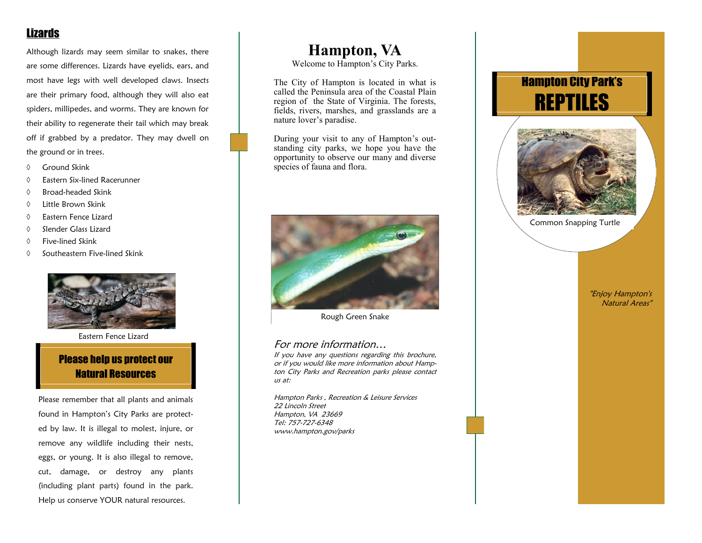# Lizards

Although lizards may seem similar to snakes, there are some differences. Lizards have eyelids, ears, and most have legs with well developed claws. Insects are their primary food, although they will also eat spiders, millipedes, and worms. They are known for their ability to regenerate their tail which may break off if grabbed by a predator. They may dwell on the ground or in trees.

- $\Diamond$  Ground Skink
- Eastern Six-lined Racerunner
- $\Diamond$  Broad-headed Skink
- Little Brown Skink
- Eastern Fence Lizard
- $\Diamond$  Slender Glass Lizard
- Five-lined Skink
- $\Diamond$  Southeastern Five-lined Skink



Eastern Fence Lizard

## Please help us protect our Natural Resources

Please remember that all plants and animals found in Hampton's City Parks are protected by law. It is illegal to molest, injure, or remove any wildlife including their nests, eggs, or young. It is also illegal to remove, cut, damage, or destroy any plants (including plant parts) found in the park. Help us conserve YOUR natural resources.

# **Hampton, VA**

Welcome to Hampton's City Parks.

The City of Hampton is located in what is called the Peninsula area of the Coastal Plain region of the State of Virginia. The forests, fields, rivers, marshes, and grasslands are a nature lover's paradise.

During your visit to any of Hampton's outstanding city parks, we hope you have the opportunity to observe our many and diverse species of fauna and flora.



Rough Green Snake

### For more information…

If you have any questions regarding this brochure, or if you would like more information about Hampton City Parks and Recreation parks please contact us at:

Hampton Parks , Recreation & Leisure Services 22 Lincoln Street Hampton, VA 23669 Tel: 757-727-6348 www.hampton.gov/parks

# Hampton City Park's REPTILES



Common Snapping Turtle

"Enjoy Hampton's Natural Areas"